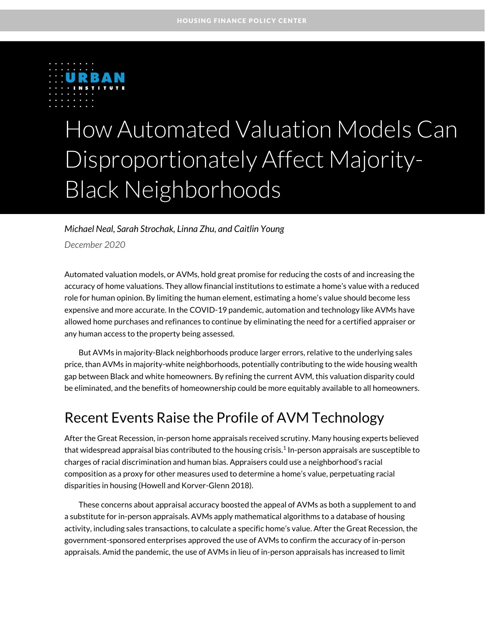

# How Automated Valuation Models Can Disproportionately Affect Majority-Black Neighborhoods

#### *Michael Neal, Sarah Strochak, Linna Zhu, and Caitlin Young*

*December 2020*

Automated valuation models, or AVMs, hold great promise for reducing the costs of and increasing the accuracy of home valuations. They allow financial institutions to estimate a home's value with a reduced role for human opinion. By limiting the human element, estimating a home's value should become less expensive and more accurate. In the COVID-19 pandemic, automation and technology like AVMs have allowed home purchases and refinances to continue by eliminating the need for a certified appraiser or any human access to the property being assessed.

But AVMs in majority-Black neighborhoods produce larger errors, relative to the underlying sales price, than AVMs in majority-white neighborhoods, potentially contributing to the wide housing wealth gap between Black and white homeowners. By refining the current AVM, this valuation disparity could be eliminated, and the benefits of homeownership could be more equitably available to all homeowners.

### Recent Events Raise the Profile of AVM Technology

After the Great Recession, in-person home appraisals received scrutiny. Many housing experts believed that widespread appraisal bias contributed to the housing crisis.<sup>1</sup> In-person appraisals are susceptible to charges of racial discrimination and human bias. Appraisers could use a neighborhood's racial composition as a proxy for other measures used to determine a home's value, perpetuating racial disparities in housing (Howell and Korver-Glenn 2018).

These concerns about appraisal accuracy boosted the appeal of AVMs as both a supplement to and a substitute for in-person appraisals. AVMs apply mathematical algorithms to a database of housing activity, including sales transactions, to calculate a specific home's value. After the Great Recession, the government-sponsored enterprises approved the use of AVMs to confirm the accuracy of in-person appraisals. Amid the pandemic, the use of AVMs in lieu of in-person appraisals has increased to limit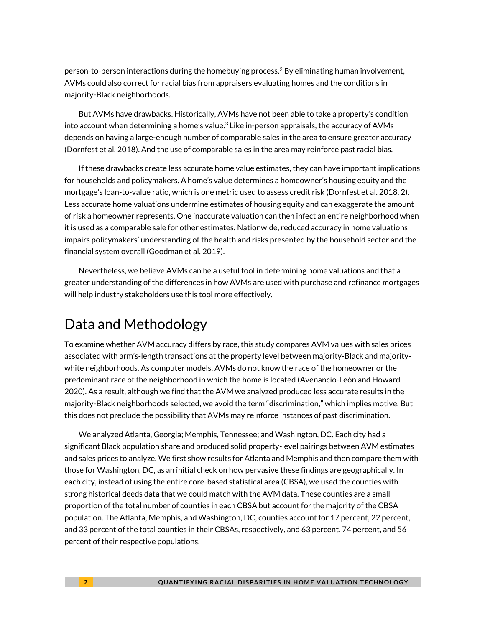person-to-person interactions during the homebuying process.<sup>2</sup> By eliminating human involvement, AVMs could also correct for racial bias from appraisers evaluating homes and the conditions in majority-Black neighborhoods.

But AVMs have drawbacks. Historically, AVMs have not been able to take a property's condition into account when determining a home's value. $3$  Like in-person appraisals, the accuracy of AVMs depends on having a large-enough number of comparable sales in the area to ensure greater accuracy (Dornfest et al. 2018). And the use of comparable sales in the area may reinforce past racial bias.

If these drawbacks create less accurate home value estimates, they can have important implications for households and policymakers. A home's value determines a homeowner's housing equity and the mortgage's loan-to-value ratio, which is one metric used to assess credit risk (Dornfest et al. 2018, 2). Less accurate home valuations undermine estimates of housing equity and can exaggerate the amount of risk a homeowner represents. One inaccurate valuation can then infect an entire neighborhood when it is used as a comparable sale for other estimates. Nationwide, reduced accuracy in home valuations impairs policymakers' understanding of the health and risks presented by the household sector and the financial system overall (Goodman et al. 2019).

Nevertheless, we believe AVMs can be a useful tool in determining home valuations and that a greater understanding of the differences in how AVMs are used with purchase and refinance mortgages will help industry stakeholders use this tool more effectively.

# Data and Methodology

To examine whether AVM accuracy differs by race, this study compares AVM values with sales prices associated with arm's-length transactions at the property level between majority-Black and majoritywhite neighborhoods. As computer models, AVMs do not know the race of the homeowner or the predominant race of the neighborhood in which the home is located (Avenancio-León and Howard 2020). As a result, although we find that the AVM we analyzed produced less accurate results in the majority-Black neighborhoods selected, we avoid the term "discrimination," which implies motive. But this does not preclude the possibility that AVMs may reinforce instances of past discrimination.

We analyzed Atlanta, Georgia; Memphis, Tennessee; and Washington, DC. Each city had a significant Black population share and produced solid property-level pairings between AVM estimates and sales prices to analyze. We first show results for Atlanta and Memphis and then compare them with those for Washington, DC, as an initial check on how pervasive these findings are geographically. In each city, instead of using the entire core-based statistical area (CBSA), we used the counties with strong historical deeds data that we could match with the AVM data. These counties are a small proportion of the total number of counties in each CBSA but account for the majority of the CBSA population. The Atlanta, Memphis, and Washington, DC, counties account for 17 percent, 22 percent, and 33 percent of the total counties in their CBSAs, respectively, and 63 percent, 74 percent, and 56 percent of their respective populations.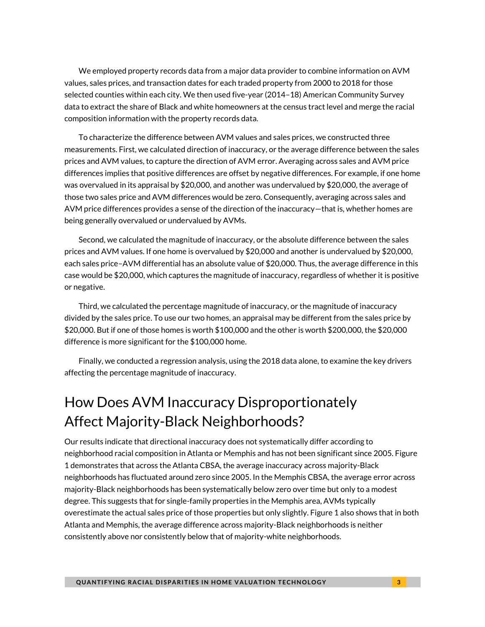We employed property records data from a major data provider to combine information on AVM values, sales prices, and transaction dates for each traded property from 2000 to 2018 for those selected counties within each city. We then used five-year (2014–18) American Community Survey data to extract the share of Black and white homeowners at the census tract level and merge the racial composition information with the property records data.

To characterize the difference between AVM values and sales prices, we constructed three measurements. First, we calculated direction of inaccuracy, or the average difference between the sales prices and AVM values, to capture the direction of AVM error. Averaging across sales and AVM price differences implies that positive differences are offset by negative differences. For example, if one home was overvalued in its appraisal by \$20,000, and another was undervalued by \$20,000, the average of those two sales price and AVM differences would be zero. Consequently, averaging across sales and AVM price differences provides a sense of the direction of the inaccuracy—that is, whether homes are being generally overvalued or undervalued by AVMs.

Second, we calculated the magnitude of inaccuracy, or the absolute difference between the sales prices and AVM values. If one home is overvalued by \$20,000 and another is undervalued by \$20,000, each sales price–AVM differential has an absolute value of \$20,000. Thus, the average difference in this case would be \$20,000, which captures the magnitude of inaccuracy, regardless of whether it is positive or negative.

Third, we calculated the percentage magnitude of inaccuracy, or the magnitude of inaccuracy divided by the sales price. To use our two homes, an appraisal may be different from the sales price by \$20,000. But if one of those homes is worth \$100,000 and the other is worth \$200,000, the \$20,000 difference is more significant for the \$100,000 home.

Finally, we conducted a regression analysis, using the 2018 data alone, to examine the key drivers affecting the percentage magnitude of inaccuracy.

# How Does AVM Inaccuracy Disproportionately Affect Majority-Black Neighborhoods?

Our results indicate that directional inaccuracy does not systematically differ according to neighborhood racial composition in Atlanta or Memphis and has not been significant since 2005. Figure 1 demonstrates that across the Atlanta CBSA, the average inaccuracy across majority-Black neighborhoods has fluctuated around zero since 2005. In the Memphis CBSA, the average error across majority-Black neighborhoods has been systematically below zero over time but only to a modest degree. This suggests that for single-family properties in the Memphis area, AVMs typically overestimate the actual sales price of those properties but only slightly. Figure 1 also shows that in both Atlanta and Memphis, the average difference across majority-Black neighborhoods is neither consistently above nor consistently below that of majority-white neighborhoods.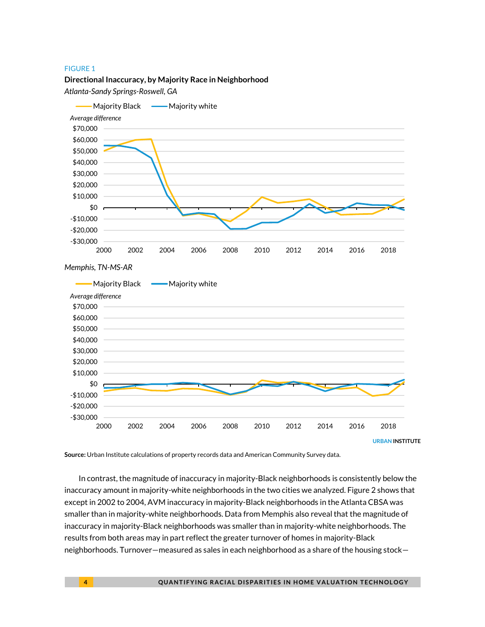#### FIGURE 1

#### **Directional Inaccuracy, by Majority Race in Neighborhood**

*Atlanta-Sandy Springs-Roswell, GA*



**Source:** Urban Institute calculations of property records data and American Community Survey data.

In contrast, the magnitude of inaccuracy in majority-Black neighborhoods is consistently below the inaccuracy amount in majority-white neighborhoods in the two cities we analyzed. Figure 2 shows that except in 2002 to 2004, AVM inaccuracy in majority-Black neighborhoods in the Atlanta CBSA was smaller than in majority-white neighborhoods. Data from Memphis also reveal that the magnitude of inaccuracy in majority-Black neighborhoods was smaller than in majority-white neighborhoods. The results from both areas may in part reflect the greater turnover of homes in majority-Black neighborhoods. Turnover—measured as sales in each neighborhood as a share of the housing stock—

**URBAN INSTITUTE**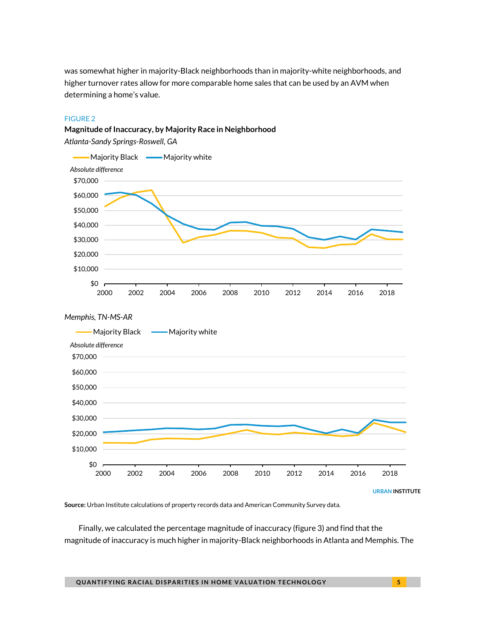was somewhat higher in majority-Black neighborhoods than in majority-white neighborhoods, and higher turnover rates allow for more comparable home sales that can be used by an AVM when determining a home's value.

#### FIGURE 2

### **Magnitude of Inaccuracy, by Majority Race in Neighborhood**

*Atlanta-Sandy Springs-Roswell, GA*



**Source:** Urban Institute calculations of property records data and American Community Survey data.

Finally, we calculated the percentage magnitude of inaccuracy (figure 3) and find that the magnitude of inaccuracy is much higher in majority-Black neighborhoods in Atlanta and Memphis. The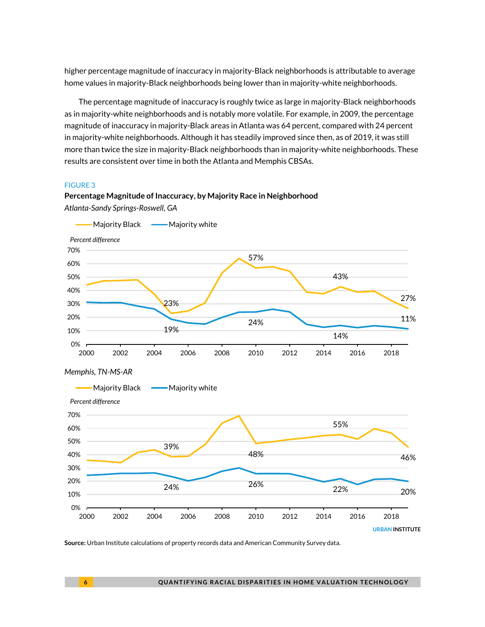higher percentage magnitude of inaccuracy in majority-Black neighborhoods is attributable to average home values in majority-Black neighborhoods being lower than in majority-white neighborhoods.

The percentage magnitude of inaccuracy is roughly twice as large in majority-Black neighborhoods as in majority-white neighborhoods and is notably more volatile. For example, in 2009, the percentage magnitude of inaccuracy in majority-Black areas in Atlanta was 64 percent, compared with 24 percent in majority-white neighborhoods. Although it has steadily improved since then, as of 2019, it was still more than twice the size in majority-Black neighborhoods than in majority-white neighborhoods. These results are consistent over time in both the Atlanta and Memphis CBSAs.

#### FIGURE 3





**Source:** Urban Institute calculations of property records data and American Community Survey data.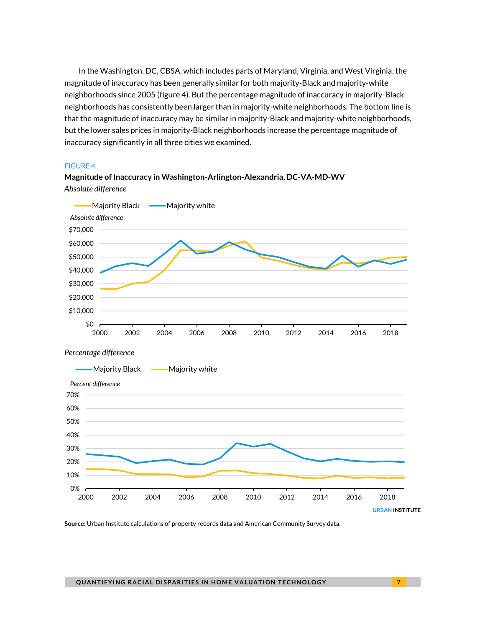In the Washington, DC, CBSA, which includes parts of Maryland, Virginia, and West Virginia, the magnitude of inaccuracy has been generally similar for both majority-Black and majority-white neighborhoods since 2005 (figure 4). But the percentage magnitude of inaccuracy in majority-Black neighborhoods has consistently been larger than in majority-white neighborhoods. The bottom line is that the magnitude of inaccuracy may be similar in majority-Black and majority-white neighborhoods, but the lower sales prices in majority-Black neighborhoods increase the percentage magnitude of inaccuracy significantly in all three cities we examined.

#### FIGURE 4



**Magnitude of Inaccuracy in Washington-Arlington-Alexandria, DC-VA-MD-WV** *Absolute difference*

**Source:** Urban Institute calculations of property records data and American Community Survey data.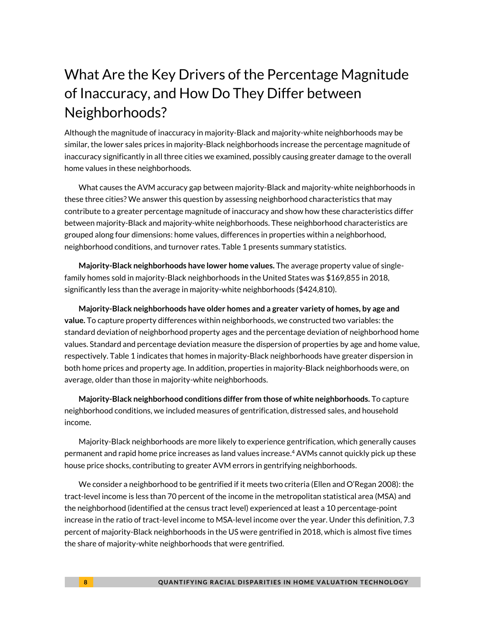# What Are the Key Drivers of the Percentage Magnitude of Inaccuracy, and How Do They Differ between Neighborhoods?

Although the magnitude of inaccuracy in majority-Black and majority-white neighborhoods may be similar, the lower sales prices in majority-Black neighborhoods increase the percentage magnitude of inaccuracy significantly in all three cities we examined, possibly causing greater damage to the overall home values in these neighborhoods.

What causes the AVM accuracy gap between majority-Black and majority-white neighborhoods in these three cities? We answer this question by assessing neighborhood characteristics that may contribute to a greater percentage magnitude of inaccuracy and show how these characteristics differ between majority-Black and majority-white neighborhoods. These neighborhood characteristics are grouped along four dimensions: home values, differences in properties within a neighborhood, neighborhood conditions, and turnover rates. Table 1 presents summary statistics.

**Majority-Black neighborhoods have lower home values.** The average property value of singlefamily homes sold in majority-Black neighborhoods in the United States was \$169,855 in 2018, significantly less than the average in majority-white neighborhoods (\$424,810).

**Majority-Black neighborhoods have older homes and a greater variety of homes, by age and value.** To capture property differences within neighborhoods, we constructed two variables: the standard deviation of neighborhood property ages and the percentage deviation of neighborhood home values. Standard and percentage deviation measure the dispersion of properties by age and home value, respectively. Table 1 indicates that homes in majority-Black neighborhoods have greater dispersion in both home prices and property age. In addition, properties in majority-Black neighborhoods were, on average, older than those in majority-white neighborhoods.

**Majority-Black neighborhood conditions differ from those of white neighborhoods.** To capture neighborhood conditions, we included measures of gentrification, distressed sales, and household income.

Majority-Black neighborhoods are more likely to experience gentrification, which generally causes permanent and rapid home price increases as land values increase. <sup>4</sup> AVMs cannot quickly pick up these house price shocks, contributing to greater AVM errors in gentrifying neighborhoods.

We consider a neighborhood to be gentrified if it meets two criteria (Ellen and O'Regan 2008): the tract-level income is less than 70 percent of the income in the metropolitan statistical area (MSA) and the neighborhood (identified at the census tract level) experienced at least a 10 percentage-point increase in the ratio of tract-level income to MSA-level income over the year. Under this definition, 7.3 percent of majority-Black neighborhoods in the US were gentrified in 2018, which is almost five times the share of majority-white neighborhoods that were gentrified.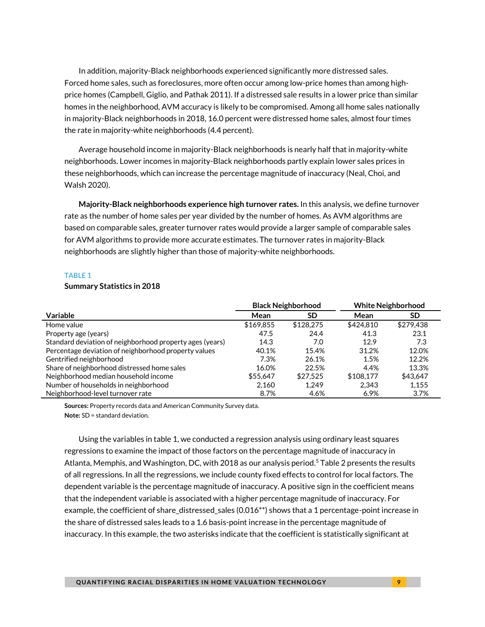In addition, majority-Black neighborhoods experienced significantly more distressed sales. Forced home sales, such as foreclosures, more often occur among low-price homes than among highprice homes (Campbell, Giglio, and Pathak 2011). If a distressed sale results in a lower price than similar homes in the neighborhood, AVM accuracy is likely to be compromised. Among all home sales nationally in majority-Black neighborhoods in 2018, 16.0 percent were distressed home sales, almost four times the rate in majority-white neighborhoods (4.4 percent).

Average household income in majority-Black neighborhoods is nearly half that in majority-white neighborhoods. Lower incomes in majority-Black neighborhoods partly explain lower sales prices in these neighborhoods, which can increase the percentage magnitude of inaccuracy (Neal, Choi, and Walsh 2020).

**Majority-Black neighborhoods experience high turnover rates.** In this analysis, we define turnover rate as the number of home sales per year divided by the number of homes. As AVM algorithms are based on comparable sales, greater turnover rates would provide a larger sample of comparable sales for AVM algorithms to provide more accurate estimates. The turnover rates in majority-Black neighborhoods are slightly higher than those of majority-white neighborhoods.

#### TABLE 1

#### **Summary Statistics in 2018**

|                                                          | <b>Black Neighborhood</b> |           | <b>White Neighborhood</b> |           |
|----------------------------------------------------------|---------------------------|-----------|---------------------------|-----------|
| Variable                                                 | Mean                      | SD        | Mean                      | SD        |
| Home value                                               | \$169,855                 | \$128,275 | \$424.810                 | \$279,438 |
| Property age (years)                                     | 47.5                      | 24.4      | 41.3                      | 23.1      |
| Standard deviation of neighborhood property ages (years) | 14.3                      | 7.0       | 12.9                      | 7.3       |
| Percentage deviation of neighborhood property values     | 40.1%                     | 15.4%     | 31.2%                     | 12.0%     |
| Gentrified neighborhood                                  | 7.3%                      | 26.1%     | 1.5%                      | 12.2%     |
| Share of neighborhood distressed home sales              | 16.0%                     | 22.5%     | 4.4%                      | 13.3%     |
| Neighborhood median household income                     | \$55.647                  | \$27.525  | \$108.177                 | \$43.647  |
| Number of households in neighborhood                     | 2.160                     | 1.249     | 2.343                     | 1.155     |
| Neighborhood-level turnover rate                         | 8.7%                      | 4.6%      | 6.9%                      | 3.7%      |

**Sources:** Property records data and American Community Survey data. **Note:** SD = standard deviation.

Using the variables in table 1, we conducted a regression analysis using ordinary least squares regressions to examine the impact of those factors on the percentage magnitude of inaccuracy in Atlanta, Memphis, and Washington, DC, with 2018 as our analysis period. <sup>5</sup> Table 2 presents the results of all regressions. In all the regressions, we include county fixed effects to control for local factors. The dependent variable is the percentage magnitude of inaccuracy. A positive sign in the coefficient means that the independent variable is associated with a higher percentage magnitude of inaccuracy. For example, the coefficient of share\_distressed\_sales (0.016\*\*) shows that a 1 percentage-point increase in the share of distressed sales leads to a 1.6 basis-point increase in the percentage magnitude of inaccuracy. In this example, the two asterisks indicate that the coefficient is statistically significant at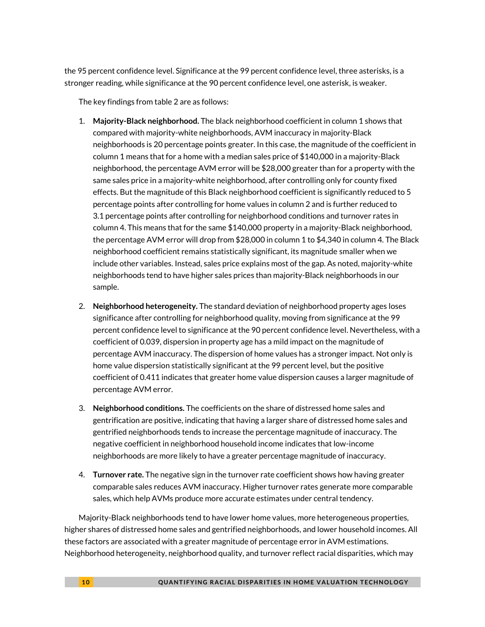the 95 percent confidence level. Significance at the 99 percent confidence level, three asterisks, is a stronger reading, while significance at the 90 percent confidence level, one asterisk, is weaker.

The key findings from table 2 are as follows:

- 1. **Majority-Black neighborhood.** The black neighborhood coefficient in column 1 shows that compared with majority-white neighborhoods, AVM inaccuracy in majority-Black neighborhoods is 20 percentage points greater. In this case, the magnitude of the coefficient in column 1 means that for a home with a median sales price of \$140,000 in a majority-Black neighborhood, the percentage AVM error will be \$28,000 greater than for a property with the same sales price in a majority-white neighborhood, after controlling only for county fixed effects. But the magnitude of this Black neighborhood coefficient is significantly reduced to 5 percentage points after controlling for home values in column 2 and is further reduced to 3.1 percentage points after controlling for neighborhood conditions and turnover rates in column 4. This means that for the same \$140,000 property in a majority-Black neighborhood, the percentage AVM error will drop from \$28,000 in column 1 to \$4,340 in column 4. The Black neighborhood coefficient remains statistically significant, its magnitude smaller when we include other variables. Instead, sales price explains most of the gap. As noted, majority-white neighborhoods tend to have higher sales prices than majority-Black neighborhoods in our sample.
- 2. **Neighborhood heterogeneity.** The standard deviation of neighborhood property ages loses significance after controlling for neighborhood quality, moving from significance at the 99 percent confidence level to significance at the 90 percent confidence level. Nevertheless, with a coefficient of 0.039, dispersion in property age has a mild impact on the magnitude of percentage AVM inaccuracy. The dispersion of home values has a stronger impact. Not only is home value dispersion statistically significant at the 99 percent level, but the positive coefficient of 0.411 indicates that greater home value dispersion causes a larger magnitude of percentage AVM error.
- 3. **Neighborhood conditions.** The coefficients on the share of distressed home sales and gentrification are positive, indicating that having a larger share of distressed home sales and gentrified neighborhoods tends to increase the percentage magnitude of inaccuracy. The negative coefficient in neighborhood household income indicates that low-income neighborhoods are more likely to have a greater percentage magnitude of inaccuracy.
- 4. **Turnover rate.** The negative sign in the turnover rate coefficient shows how having greater comparable sales reduces AVM inaccuracy. Higher turnover rates generate more comparable sales, which help AVMs produce more accurate estimates under central tendency.

Majority-Black neighborhoods tend to have lower home values, more heterogeneous properties, higher shares of distressed home sales and gentrified neighborhoods, and lower household incomes. All these factors are associated with a greater magnitude of percentage error in AVM estimations. Neighborhood heterogeneity, neighborhood quality, and turnover reflect racial disparities, which may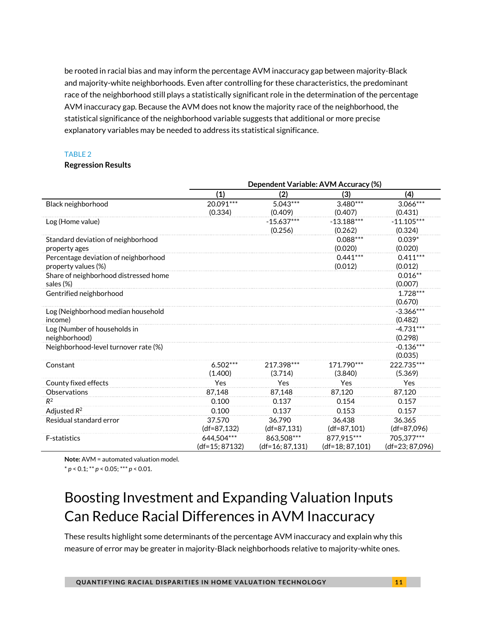be rooted in racial bias and may inform the percentage AVM inaccuracy gap between majority-Black and majority-white neighborhoods. Even after controlling for these characteristics, the predominant race of the neighborhood still plays a statistically significant role in the determination of the percentage AVM inaccuracy gap. Because the AVM does not know the majority race of the neighborhood, the statistical significance of the neighborhood variable suggests that additional or more precise explanatory variables may be needed to address its statistical significance.

#### TABLE 2

#### **Regression Results**

|                                       |                | Dependent Variable: AVM Accuracy (%) |                 |                   |  |  |  |
|---------------------------------------|----------------|--------------------------------------|-----------------|-------------------|--|--|--|
|                                       | (1)            | (2)                                  | (3)             | (4)               |  |  |  |
| Black neighborhood                    | $20.091***$    | $5.043***$                           | $3.480***$      | $3.066***$        |  |  |  |
|                                       | (0.334)        | (0.409)                              | (0.407)         | (0.431)           |  |  |  |
| Log (Home value)                      |                | $-15.637***$                         | $-13.188***$    | $-11.105***$      |  |  |  |
|                                       |                | (0.256)                              | (0.262)         | (0.324)           |  |  |  |
| Standard deviation of neighborhood    |                |                                      | $0.088***$      | $0.039*$          |  |  |  |
| property ages                         |                |                                      | (0.020)         | (0.020)           |  |  |  |
| Percentage deviation of neighborhood  |                |                                      | $0.441***$      | $0.411***$        |  |  |  |
| property values (%)                   |                |                                      | (0.012)         | (0.012)           |  |  |  |
| Share of neighborhood distressed home |                |                                      |                 | $0.016**$         |  |  |  |
| sales (%)                             |                |                                      |                 | (0.007)           |  |  |  |
| Gentrified neighborhood               |                |                                      |                 | $1.728***$        |  |  |  |
|                                       |                |                                      |                 | (0.670)           |  |  |  |
| Log (Neighborhood median household    |                |                                      |                 | $-3.366***$       |  |  |  |
| income)                               |                |                                      |                 | (0.482)           |  |  |  |
| Log (Number of households in          |                |                                      |                 | $-4.731***$       |  |  |  |
| neighborhood)                         |                |                                      |                 | (0.298)           |  |  |  |
| Neighborhood-level turnover rate (%)  |                |                                      |                 | $-0.136***$       |  |  |  |
|                                       |                |                                      |                 | (0.035)           |  |  |  |
| Constant                              | $6.502***$     | 217.398***                           | 171.790***      | 222.735***        |  |  |  |
|                                       | (1.400)        | (3.714)                              | (3.840)         | (5.369)           |  |  |  |
| County fixed effects                  | Yes            | Yes                                  | Yes             | Yes               |  |  |  |
| Observations                          | 87.148         | 87.148                               | 87.120          | 87.120            |  |  |  |
| $R^2$                                 | 0.100          | 0.137                                | 0.154           | 0.157             |  |  |  |
| Adjusted $R^2$                        | 0.100          | 0.137                                | 0.153           | 0.157             |  |  |  |
| Residual standard error               | 37.570         | 36.790                               | 36.438          | 36.365            |  |  |  |
|                                       | $(df=87, 132)$ | $(df=87, 131)$                       | $(df=87,101)$   | $(df=87,096)$     |  |  |  |
| <b>F-statistics</b>                   | 644.504***     | 863,508***                           | 877,915***      | 705.377***        |  |  |  |
|                                       | (df=15; 87132) | $(df=16; 87, 131)$                   | (df=18: 87,101) | $(df=23; 87,096)$ |  |  |  |

**Note:** AVM = automated valuation model.

#### \* *p* < 0.1; \*\* *p* < 0.05; \*\*\* *p* < 0.01.

# Boosting Investment and Expanding Valuation Inputs Can Reduce Racial Differences in AVM Inaccuracy

These results highlight some determinants of the percentage AVM inaccuracy and explain why this measure of error may be greater in majority-Black neighborhoods relative to majority-white ones.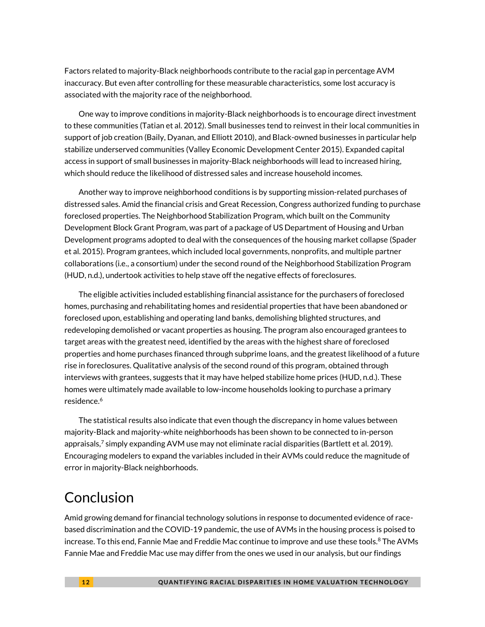Factors related to majority-Black neighborhoods contribute to the racial gap in percentage AVM inaccuracy. But even after controlling for these measurable characteristics, some lost accuracy is associated with the majority race of the neighborhood.

One way to improve conditions in majority-Black neighborhoods is to encourage direct investment to these communities (Tatian et al. 2012). Small businesses tend to reinvest in their local communities in support of job creation (Baily, Dyanan, and Elliott 2010), and Black-owned businesses in particular help stabilize underserved communities (Valley Economic Development Center 2015). Expanded capital access in support of small businesses in majority-Black neighborhoods will lead to increased hiring, which should reduce the likelihood of distressed sales and increase household incomes.

Another way to improve neighborhood conditions is by supporting mission-related purchases of distressed sales. Amid the financial crisis and Great Recession, Congress authorized funding to purchase foreclosed properties. The Neighborhood Stabilization Program, which built on the Community Development Block Grant Program, was part of a package of US Department of Housing and Urban Development programs adopted to deal with the consequences of the housing market collapse (Spader et al. 2015). Program grantees, which included local governments, nonprofits, and multiple partner collaborations (i.e., a consortium) under the second round of the Neighborhood Stabilization Program (HUD, n.d.), undertook activities to help stave off the negative effects of foreclosures.

The eligible activities included establishing financial assistance for the purchasers of foreclosed homes, purchasing and rehabilitating homes and residential properties that have been abandoned or foreclosed upon, establishing and operating land banks, demolishing blighted structures, and redeveloping demolished or vacant properties as housing. The program also encouraged grantees to target areas with the greatest need, identified by the areas with the highest share of foreclosed properties and home purchases financed through subprime loans, and the greatest likelihood of a future rise in foreclosures. Qualitative analysis of the second round of this program, obtained through interviews with grantees, suggests that it may have helped stabilize home prices (HUD, n.d.). These homes were ultimately made available to low-income households looking to purchase a primary residence. 6

The statistical results also indicate that even though the discrepancy in home values between majority-Black and majority-white neighborhoods has been shown to be connected to in-person appraisals, $^7$  simply expanding AVM use may not eliminate racial disparities (Bartlett et al. 2019). Encouraging modelers to expand the variables included in their AVMs could reduce the magnitude of error in majority-Black neighborhoods.

# Conclusion

Amid growing demand for financial technology solutions in response to documented evidence of racebased discrimination and the COVID-19 pandemic, the use of AVMs in the housing process is poised to increase. To this end, Fannie Mae and Freddie Mac continue to improve and use these tools. $^8$  The AVMs Fannie Mae and Freddie Mac use may differ from the ones we used in our analysis, but our findings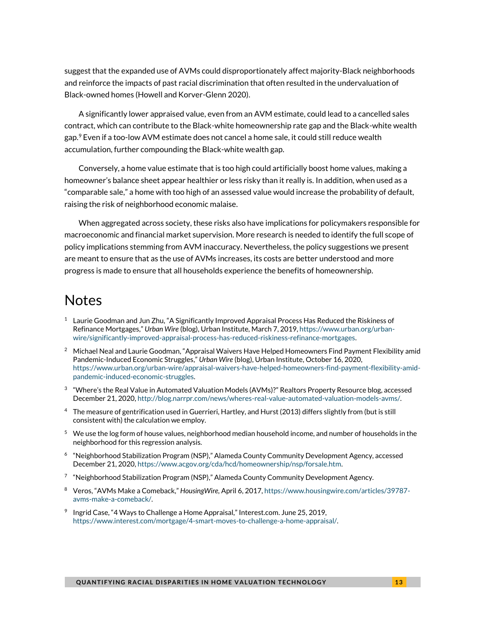suggest that the expanded use of AVMs could disproportionately affect majority-Black neighborhoods and reinforce the impacts of past racial discrimination that often resulted in the undervaluation of Black-owned homes (Howell and Korver-Glenn 2020).

A significantly lower appraised value, even from an AVM estimate, could lead to a cancelled sales contract, which can contribute to the Black-white homeownership rate gap and the Black-white wealth gap. <sup>9</sup> Even if a too-low AVM estimate does not cancel a home sale, it could still reduce wealth accumulation, further compounding the Black-white wealth gap.

Conversely, a home value estimate that is too high could artificially boost home values, making a homeowner's balance sheet appear healthier or less risky than it really is. In addition, when used as a "comparable sale," a home with too high of an assessed value would increase the probability of default, raising the risk of neighborhood economic malaise.

When aggregated across society, these risks also have implications for policymakers responsible for macroeconomic and financial market supervision. More research is needed to identify the full scope of policy implications stemming from AVM inaccuracy. Nevertheless, the policy suggestions we present are meant to ensure that as the use of AVMs increases, its costs are better understood and more progress is made to ensure that all households experience the benefits of homeownership.

### Notes

- $1$  Laurie Goodman and Jun Zhu, "A Significantly Improved Appraisal Process Has Reduced the Riskiness of Refinance Mortgages," *Urban Wire* (blog), Urban Institute*,* March 7, 2019[, https://www.urban.org/urban](https://www.urban.org/urban-wire/significantly-improved-appraisal-process-has-reduced-riskiness-refinance-mortgages)[wire/significantly-improved-appraisal-process-has-reduced-riskiness-refinance-mortgages.](https://www.urban.org/urban-wire/significantly-improved-appraisal-process-has-reduced-riskiness-refinance-mortgages)
- $2$  Michael Neal and Laurie Goodman, "Appraisal Waivers Have Helped Homeowners Find Payment Flexibility amid Pandemic-Induced Economic Struggles," *Urban Wire* (blog), Urban Institute, October 16, 2020, [https://www.urban.org/urban-wire/appraisal-waivers-have-helped-homeowners-find-payment-flexibility-amid](https://www.urban.org/urban-wire/appraisal-waivers-have-helped-homeowners-find-payment-flexibility-amid-pandemic-induced-economic-struggles)[pandemic-induced-economic-struggles.](https://www.urban.org/urban-wire/appraisal-waivers-have-helped-homeowners-find-payment-flexibility-amid-pandemic-induced-economic-struggles)
- $^3$  "Where's the Real Value in Automated Valuation Models (AVMs)?" Realtors Property Resource blog, accessed December 21, 2020[, http://blog.narrpr.com/news/wheres-real-value-automated-valuation-models-avms/.](http://blog.narrpr.com/news/wheres-real-value-automated-valuation-models-avms/)
- <sup>4</sup> The measure of gentrification used in Guerrieri, Hartley, and Hurst (2013) differs slightly from (but is still consistent with) the calculation we employ.
- <sup>5</sup> We use the log form of house values, neighborhood median household income, and number of households in the neighborhood for this regression analysis.
- 6 "Neighborhood Stabilization Program (NSP)," Alameda County Community Development Agency, accessed December 21, 2020[, https://www.acgov.org/cda/hcd/homeownership/nsp/forsale.htm.](https://www.acgov.org/cda/hcd/homeownership/nsp/forsale.htm)
- <sup>7</sup> "Neighborhood Stabilization Program (NSP)," Alameda County Community Development Agency.
- <sup>8</sup> Veros, "AVMs Make a Comeback," *HousingWire,* April 6, 2017[, https://www.housingwire.com/articles/39787](https://www.housingwire.com/articles/39787-avms-make-a-comeback/) [avms-make-a-comeback/.](https://www.housingwire.com/articles/39787-avms-make-a-comeback/)
- $9$  Ingrid Case, "4 Ways to Challenge a Home Appraisal," Interest.com. June 25, 2019, [https://www.interest.com/mortgage/4-smart-moves-to-challenge-a-home-appraisal/.](https://www.interest.com/mortgage/4-smart-moves-to-challenge-a-home-appraisal/)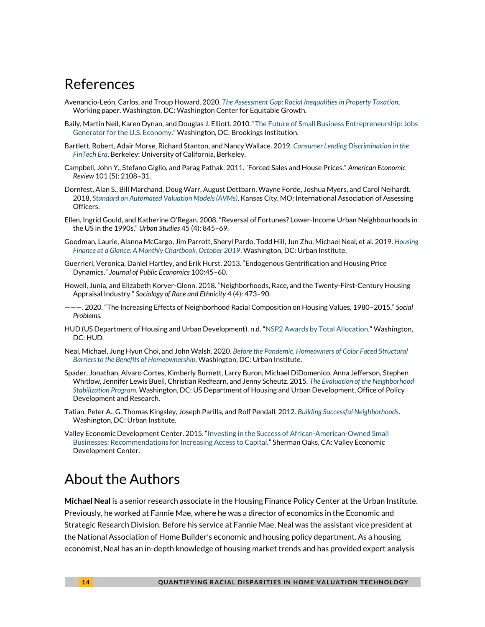### References

- Avenancio-León, Carlos, and Troup Howard. 2020. *[The Assessment Gap: Racial Inequalities in Property Taxation](https://equitablegrowth.org/working-papers/the-assessment-gap-racial-inequalities-in-property-taxation/)*. Working paper. Washington, DC: Washington Center for Equitable Growth.
- Baily, Martin Neil, Karen Dynan, and Douglas J. Elliott. 2010. "[The Future of Small Business Entrepreneurship: Jobs](https://www.brookings.edu/wp-content/uploads/2016/06/pb_175.pdf)  [Generator for the U.S. Economy](https://www.brookings.edu/wp-content/uploads/2016/06/pb_175.pdf)." Washington, DC: Brookings Institution.
- Bartlett, Robert, Adair Morse, Richard Stanton, and Nancy Wallace. 2019. *[Consumer Lending Discrimination in the](https://faculty.haas.berkeley.edu/morse/research/papers/discrim.pdf)  [FinTech Era](https://faculty.haas.berkeley.edu/morse/research/papers/discrim.pdf)*. Berkeley: University of California, Berkeley.
- Campbell, John Y., Stefano Giglio, and Parag Pathak. 2011. "Forced Sales and House Prices." *American Economic Review* 101 (5): 2108–31.
- Dornfest, Alan S., Bill Marchand, Doug Warr, August Dettbarn, Wayne Forde, Joshua Myers, and Carol Neihardt. 2018. *[Standard on Automated Valuation Models \(AVMs\)](https://www.iaao.org/media/standards/AVM_STANDARD_2018.pdf)*. Kansas City, MO: International Association of Assessing Officers.
- Ellen, Ingrid Gould, and Katherine O'Regan. 2008. "Reversal of Fortunes? Lower-Income Urban Neighbourhoods in the US in the 1990s." *Urban Studies* 45 (4): 845–69.
- Goodman, Laurie, Alanna McCargo, Jim Parrott, Sheryl Pardo, Todd Hill, Jun Zhu, Michael Neal, et al. 2019. *[Housing](https://www.urban.org/sites/default/files/publication/101274/october_chartbook_2019_1.pdf)  [Finance at a Glance: A Monthly Chartbook, October 2019](https://www.urban.org/sites/default/files/publication/101274/october_chartbook_2019_1.pdf)*. Washington, DC: Urban Institute.
- Guerrieri, Veronica, Daniel Hartley, and Erik Hurst. 2013. "Endogenous Gentrification and Housing Price Dynamics." *Journal of Public Economics* 100:45–60.
- Howell, Junia, and Elizabeth Korver-Glenn. 2018. "Neighborhoods, Race, and the Twenty-First-Century Housing Appraisal Industry." *Sociology of Race and Ethnicity* 4 (4): 473–90.
- ———. 2020. "The Increasing Effects of Neighborhood Racial Composition on Housing Values, 1980–2015." *Social Problems.*
- HUD (US Department of Housing and Urban Development). n.d. "[NSP2 Awards by Total Allocation](https://www.hud.gov/sites/documents/DOC_14168.PDF)." Washington, DC: HUD.
- Neal, Michael, Jung Hyun Choi, and John Walsh. 2020. *[Before the Pandemic, Homeowners of Color Faced Structural](https://www.urban.org/research/publication/pandemic-homeowners-color-faced-structural-barriers-benefits-homeownership)  [Barriers to the Benefits of Homeownership](https://www.urban.org/research/publication/pandemic-homeowners-color-faced-structural-barriers-benefits-homeownership)*. Washington, DC: Urban Institute.
- Spader, Jonathan, Alvaro Cortes, Kimberly Burnett, Larry Buron, Michael DiDomenico, Anna Jefferson, Stephen Whitlow, Jennifer Lewis Buell, Christian Redfearn, and Jenny Scheutz. 2015. *[The Evaluation of the Neighborhood](https://www.huduser.gov/portal/publications/pdf/neighborhood_stabilization.pdf)  [Stabilization Program](https://www.huduser.gov/portal/publications/pdf/neighborhood_stabilization.pdf)*. Washington, DC: US Department of Housing and Urban Development, Office of Policy Development and Research.
- Tatian, Peter A., G. Thomas Kingsley, Joseph Parilla, and Rolf Pendall. 2012. *[Building Successful Neighborhoods](https://www.urban.org/sites/default/files/publication/25346/412557-building-successful-neighborhoods.pdf)*. Washington, DC: Urban Institute.
- Valley Economic Development Center. 2015. "[Investing in the Success of African-American-Owned Small](https://www.jpmorganchase.com/content/dam/jpmc/jpmorgan-chase-and-co/documents/vedc-investing-in-success-of-aaosb.pdf)  [Businesses: Recommendations for Increasing Access to Capital](https://www.jpmorganchase.com/content/dam/jpmc/jpmorgan-chase-and-co/documents/vedc-investing-in-success-of-aaosb.pdf)." Sherman Oaks, CA: Valley Economic Development Center.

# About the Authors

**Michael Neal** is a senior research associate in the Housing Finance Policy Center at the Urban Institute. Previously, he worked at Fannie Mae, where he was a director of economics in the Economic and Strategic Research Division. Before his service at Fannie Mae, Neal was the assistant vice president at the National Association of Home Builder's economic and housing policy department. As a housing economist, Neal has an in-depth knowledge of housing market trends and has provided expert analysis